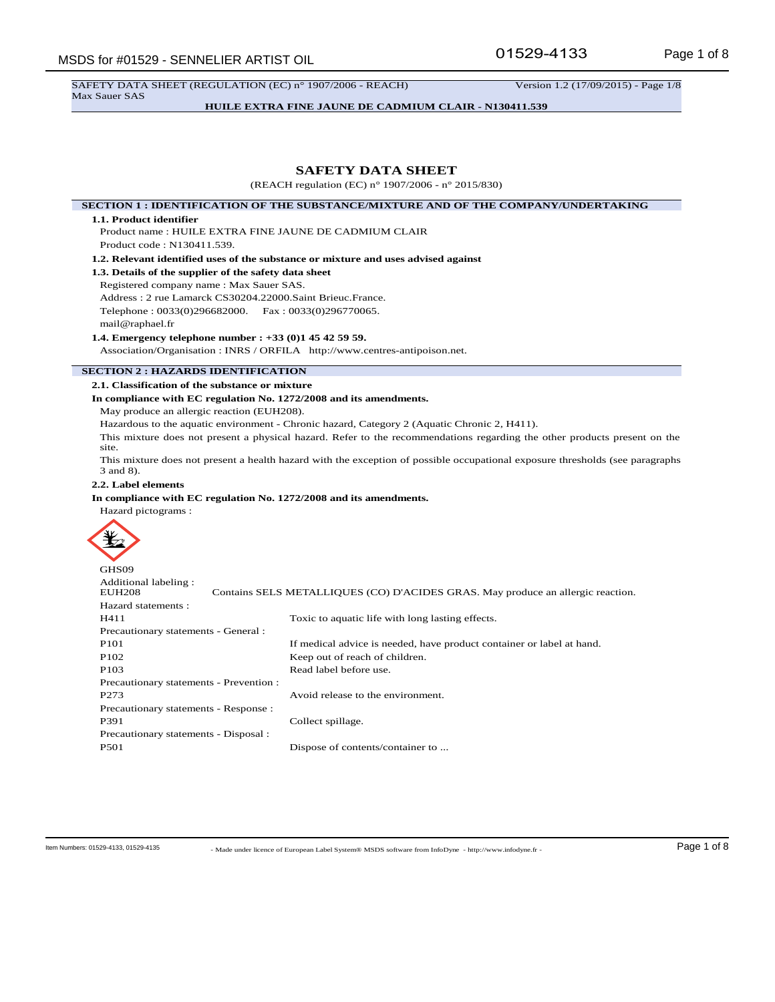SAFETY DATA SHEET (REGULATION (EC) n° 1907/2006 - REACH) Version 1.2 (17/09/2015) - Page 1/8 Max Sauer SAS

**HUILE EXTRA FINE JAUNE DE CADMIUM CLAIR - N130411.539**

## **SAFETY DATA SHEET**

(REACH regulation (EC) n° 1907/2006 - n° 2015/830)

**SECTION 1 : IDENTIFICATION OF THE SUBSTANCE/MIXTURE AND OF THE COMPANY/UNDERTAKING**

#### **1.1. Product identifier**

Product name : HUILE EXTRA FINE JAUNE DE CADMIUM CLAIR

Product code : N130411.539.

**1.2. Relevant identified uses of the substance or mixture and uses advised against**

**1.3. Details of the supplier of the safety data sheet**

Registered company name : Max Sauer SAS. Address : 2 rue Lamarck CS30204.22000.Saint Brieuc.France. Telephone : 0033(0)296682000. Fax : 0033(0)296770065. mail@raphael.fr

**1.4. Emergency telephone number : +33 (0)1 45 42 59 59.**

Association/Organisation : INRS / ORFILA http://www.centres-antipoison.net.

## **SECTION 2 : HAZARDS IDENTIFICATION**

**2.1. Classification of the substance or mixture**

#### **In compliance with EC regulation No. 1272/2008 and its amendments.**

May produce an allergic reaction (EUH208).

Hazardous to the aquatic environment - Chronic hazard, Category 2 (Aquatic Chronic 2, H411).

This mixture does not present a physical hazard. Refer to the recommendations regarding the other products present on the site.

This mixture does not present a health hazard with the exception of possible occupational exposure thresholds (see paragraphs 3 and 8).

## **2.2. Label elements**

## **In compliance with EC regulation No. 1272/2008 and its amendments.**

Hazard pictograms :



| Contains SELS METALLIQUES (CO) D'ACIDES GRAS. May produce an allergic reaction. |
|---------------------------------------------------------------------------------|
|                                                                                 |
| Toxic to aquatic life with long lasting effects.                                |
| Precautionary statements - General :                                            |
| If medical advice is needed, have product container or label at hand.           |
| Keep out of reach of children.                                                  |
| Read label before use.                                                          |
| Precautionary statements - Prevention :                                         |
| Avoid release to the environment.                                               |
| Precautionary statements - Response :                                           |
| Collect spillage.                                                               |
| Precautionary statements - Disposal :                                           |
| Dispose of contents/container to                                                |
|                                                                                 |

- Made under licence of European Label System® MSDS software from InfoDyne - http://www.infodyne.fr - Item Numbers: 01529-4133, 01529-4135 Page 1 of 8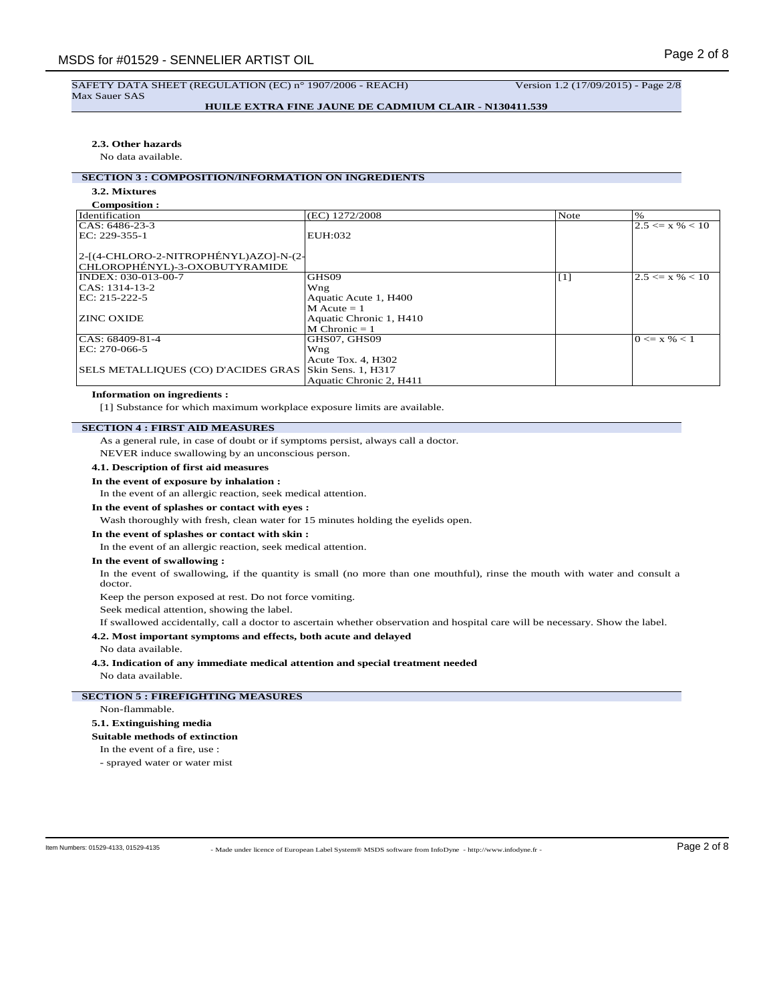## SAFETY DATA SHEET (REGULATION (EC) n° 1907/2006 - REACH) Version 1.2 (17/09/2015) - Page 2/8 Max Sauer SAS

## **HUILE EXTRA FINE JAUNE DE CADMIUM CLAIR - N130411.539**

### **2.3. Other hazards**

No data available.

# **SECTION 3 : COMPOSITION/INFORMATION ON INGREDIENTS**

#### **3.2. Mixtures Composition :**

| COMPOSITION :                         |                         |             |                     |
|---------------------------------------|-------------------------|-------------|---------------------|
| Identification                        | (EC) 1272/2008          | Note        | $\%$                |
| $ CAS: 6486-23-3$                     |                         |             | $2.5 \le x \% < 10$ |
| EC: 229-355-1                         | EUH:032                 |             |                     |
|                                       |                         |             |                     |
| 2-[(4-CHLORO-2-NITROPHÉNYL)AZO]-N-(2- |                         |             |                     |
| CHLOROPHÉNYL)-3-OXOBUTYRAMIDE         |                         |             |                     |
| INDEX: 030-013-00-7                   | GHS09                   | $\vert$ [1] | $2.5 \le x \% < 10$ |
| CAS: 1314-13-2                        | Wng                     |             |                     |
| EC: 215-222-5                         | Aquatic Acute 1, H400   |             |                     |
|                                       | $M$ Acute = 1           |             |                     |
| <b>ZINC OXIDE</b>                     | Aquatic Chronic 1, H410 |             |                     |
|                                       | $M$ Chronic = 1         |             |                     |
| CAS: 68409-81-4                       | GHS07, GHS09            |             | $0 \le x \% < 1$    |
| EC: 270-066-5                         | Wng                     |             |                     |
|                                       | Acute Tox. 4, H302      |             |                     |
| SELS METALLIQUES (CO) D'ACIDES GRAS   | Skin Sens. 1, H317      |             |                     |
|                                       | Aquatic Chronic 2, H411 |             |                     |

## **Information on ingredients :**

[1] Substance for which maximum workplace exposure limits are available.

## **SECTION 4 : FIRST AID MEASURES**

As a general rule, in case of doubt or if symptoms persist, always call a doctor. NEVER induce swallowing by an unconscious person.

# **4.1. Description of first aid measures**

# **In the event of exposure by inhalation :**

In the event of an allergic reaction, seek medical attention.

### **In the event of splashes or contact with eyes :**

Wash thoroughly with fresh, clean water for 15 minutes holding the eyelids open.

## **In the event of splashes or contact with skin :**

In the event of an allergic reaction, seek medical attention.

### **In the event of swallowing :**

In the event of swallowing, if the quantity is small (no more than one mouthful), rinse the mouth with water and consult a doctor.

Keep the person exposed at rest. Do not force vomiting.

Seek medical attention, showing the label.

If swallowed accidentally, call a doctor to ascertain whether observation and hospital care will be necessary. Show the label.

### **4.2. Most important symptoms and effects, both acute and delayed**

No data available.

**4.3. Indication of any immediate medical attention and special treatment needed** No data available.

## **SECTION 5 : FIREFIGHTING MEASURES**

#### Non-flammable.

#### **5.1. Extinguishing media**

#### **Suitable methods of extinction**

In the event of a fire, use :

- sprayed water or water mist

- Made under licence of European Label System® MSDS software from InfoDyne - http://www.infodyne.fr - Item Numbers: 01529-4133, 01529-4135 Page 2 of 8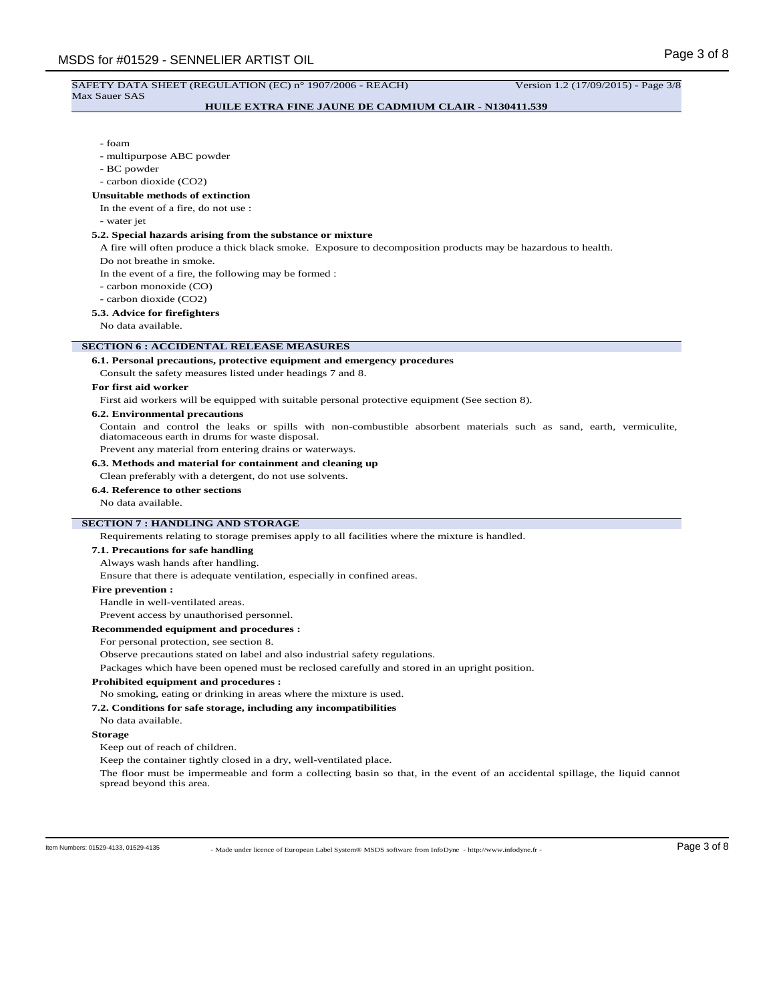#### SAFETY DATA SHEET (REGULATION (EC) n° 1907/2006 - REACH) Version 1.2 (17/09/2015) - Page 3/8 Max Sauer SAS

### **HUILE EXTRA FINE JAUNE DE CADMIUM CLAIR - N130411.539**

#### - foam

- multipurpose ABC powder
- BC powder
- carbon dioxide (CO2)

#### **Unsuitable methods of extinction**

In the event of a fire, do not use :

- water jet

### **5.2. Special hazards arising from the substance or mixture**

A fire will often produce a thick black smoke. Exposure to decomposition products may be hazardous to health.

Do not breathe in smoke.

In the event of a fire, the following may be formed :

- carbon monoxide (CO)
- carbon dioxide (CO2)

## **5.3. Advice for firefighters**

No data available.

## **SECTION 6 : ACCIDENTAL RELEASE MEASURES**

#### **6.1. Personal precautions, protective equipment and emergency procedures**

Consult the safety measures listed under headings 7 and 8.

## **For first aid worker**

First aid workers will be equipped with suitable personal protective equipment (See section 8).

#### **6.2. Environmental precautions**

Contain and control the leaks or spills with non-combustible absorbent materials such as sand, earth, vermiculite, diatomaceous earth in drums for waste disposal.

Prevent any material from entering drains or waterways.

## **6.3. Methods and material for containment and cleaning up**

Clean preferably with a detergent, do not use solvents.

## **6.4. Reference to other sections**

No data available.

## **SECTION 7 : HANDLING AND STORAGE**

Requirements relating to storage premises apply to all facilities where the mixture is handled.

#### **7.1. Precautions for safe handling**

Always wash hands after handling.

Ensure that there is adequate ventilation, especially in confined areas.

#### **Fire prevention :**

Handle in well-ventilated areas.

Prevent access by unauthorised personnel.

#### **Recommended equipment and procedures :**

For personal protection, see section 8.

Observe precautions stated on label and also industrial safety regulations.

Packages which have been opened must be reclosed carefully and stored in an upright position.

## **Prohibited equipment and procedures :**

No smoking, eating or drinking in areas where the mixture is used.

## **7.2. Conditions for safe storage, including any incompatibilities**

## No data available.

## **Storage**

Keep out of reach of children.

Keep the container tightly closed in a dry, well-ventilated place.

The floor must be impermeable and form a collecting basin so that, in the event of an accidental spillage, the liquid cannot spread beyond this area.

- Made under licence of European Label System® MSDS software from InfoDyne - http://www.infodyne.fr - Item Numbers: 01529-4133, 01529-4135 Page 3 of 8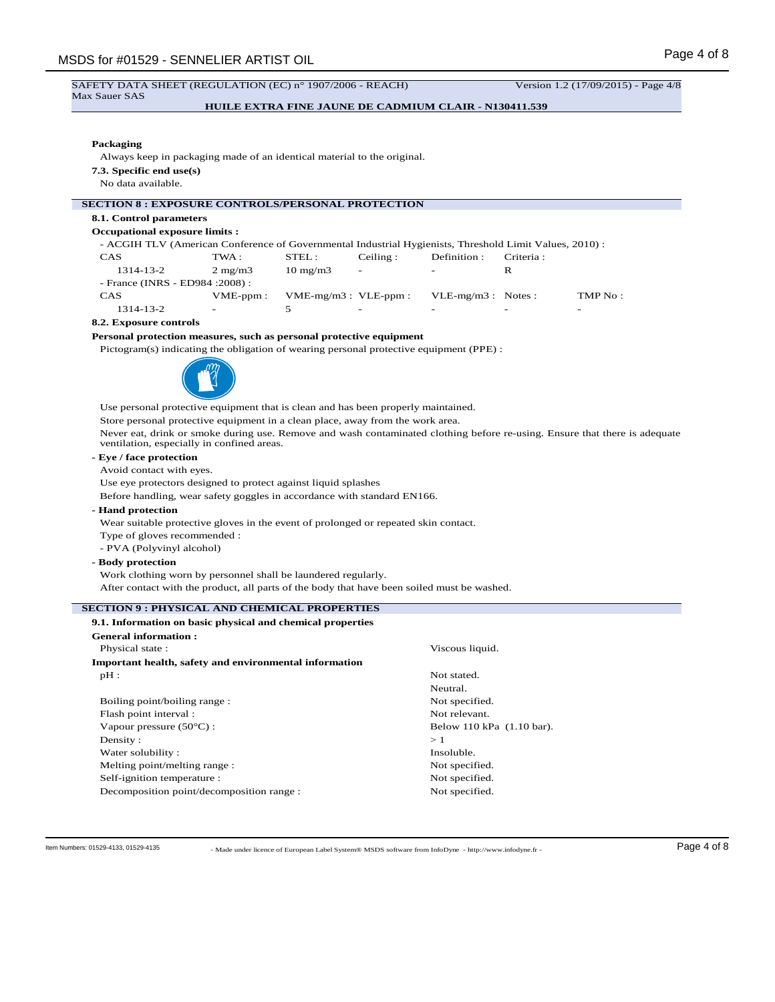SAFETY DATA SHEET (REGULATION (EC) n° 1907/2006 - REACH) Version 1.2 (17/09/2015) - Page 4/8 Max Sauer SAS

## **HUILE EXTRA FINE JAUNE DE CADMIUM CLAIR - N130411.539**

## **Packaging**

Always keep in packaging made of an identical material to the original.

**7.3. Specific end use(s)**

No data available.

## **SECTION 8 : EXPOSURE CONTROLS/PERSONAL PROTECTION**

## **8.1. Control parameters**

#### **Occupational exposure limits :**

- ACGIH TLV (American Conference of Governmental Industrial Hygienists, Threshold Limit Values, 2010) : CAS TWA : STEL : Ceiling : Definition : Criteria :

| 1314-13-2                        | $2 \text{ mg}/\text{m}$ | $10 \text{ mg/m}$ 3   | $\overline{\phantom{a}}$ | $\sim$                   | к                        |                          |
|----------------------------------|-------------------------|-----------------------|--------------------------|--------------------------|--------------------------|--------------------------|
| - France (INRS - ED984 : 2008) : |                         |                       |                          |                          |                          |                          |
| <b>CAS</b>                       | $VME$ -ppm:             | $VME-mg/m3: VLE-ppm:$ |                          | $VLE-mg/m3$ : Notes:     |                          | TMP No :                 |
| 1314-13-2                        | $\sim$ $-$              |                       | $\overline{\phantom{0}}$ | $\overline{\phantom{0}}$ | $\overline{\phantom{0}}$ | $\overline{\phantom{0}}$ |

#### **8.2. Exposure controls**

#### **Personal protection measures, such as personal protective equipment**

Pictogram(s) indicating the obligation of wearing personal protective equipment (PPE) :



Use personal protective equipment that is clean and has been properly maintained. Store personal protective equipment in a clean place, away from the work area. Never eat, drink or smoke during use. Remove and wash contaminated clothing before re-using. Ensure that there is adequate ventilation, especially in confined areas.

## **- Eye / face protection**

Avoid contact with eyes.

Use eye protectors designed to protect against liquid splashes

Before handling, wear safety goggles in accordance with standard EN166.

### **- Hand protection**

Wear suitable protective gloves in the event of prolonged or repeated skin contact.

- Type of gloves recommended :
- PVA (Polyvinyl alcohol)

## **- Body protection**

Work clothing worn by personnel shall be laundered regularly.

After contact with the product, all parts of the body that have been soiled must be washed.

## **SECTION 9 : PHYSICAL AND CHEMICAL PROPERTIES**

| 9.1. Information on basic physical and chemical properties |                           |
|------------------------------------------------------------|---------------------------|
| <b>General information:</b>                                |                           |
| Physical state:                                            | Viscous liquid.           |
| Important health, safety and environmental information     |                           |
| $pH$ :                                                     | Not stated.               |
|                                                            | Neutral.                  |
| Boiling point/boiling range:                               | Not specified.            |
| Flash point interval:                                      | Not relevant.             |
| Vapour pressure $(50^{\circ}C)$ :                          | Below 110 kPa (1.10 bar). |
| Density:                                                   | >1                        |
| Water solubility:                                          | Insoluble.                |
| Melting point/melting range:                               | Not specified.            |
| Self-ignition temperature :                                | Not specified.            |
| Decomposition point/decomposition range :                  | Not specified.            |

- Made under licence of European Label System® MSDS software from InfoDyne - http://www.infodyne.fr - Item Numbers: 01529-4133, 01529-4135 Page 4 of 8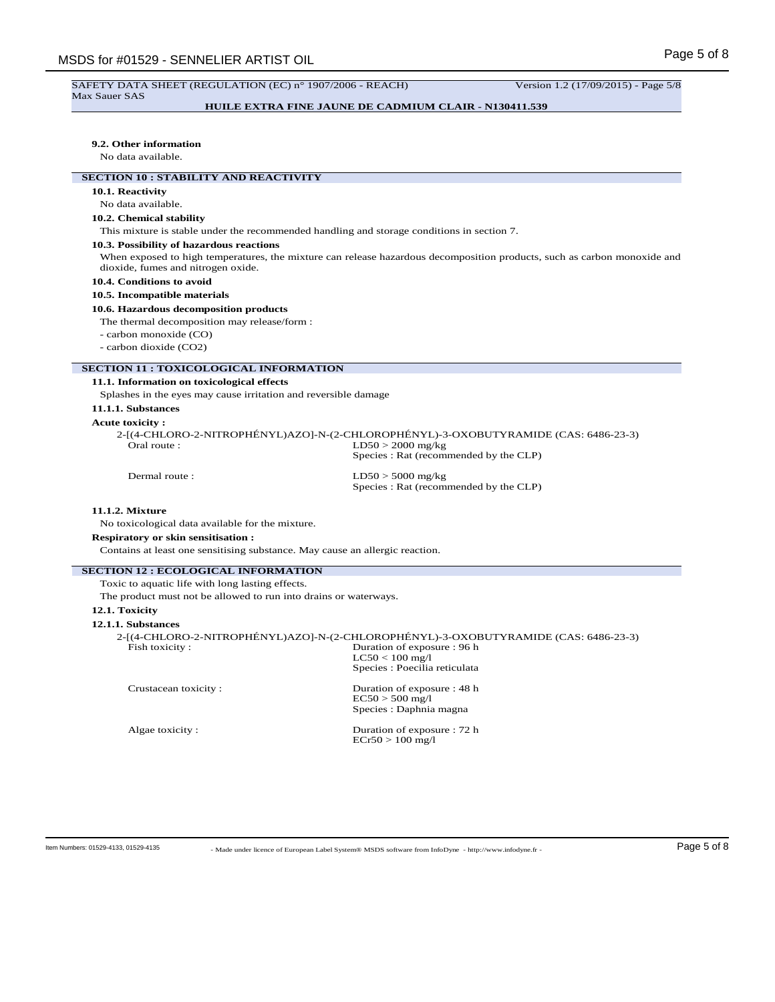#### SAFETY DATA SHEET (REGULATION (EC) n° 1907/2006 - REACH) Version 1.2 (17/09/2015) - Page 5/8 Max Sauer SAS

## **HUILE EXTRA FINE JAUNE DE CADMIUM CLAIR - N130411.539**

### **9.2. Other information**

No data available.

## **SECTION 10 : STABILITY AND REACTIVITY**

## **10.1. Reactivity**

No data available.

## **10.2. Chemical stability**

This mixture is stable under the recommended handling and storage conditions in section 7.

#### **10.3. Possibility of hazardous reactions**

When exposed to high temperatures, the mixture can release hazardous decomposition products, such as carbon monoxide and dioxide, fumes and nitrogen oxide.

### **10.4. Conditions to avoid**

#### **10.5. Incompatible materials**

#### **10.6. Hazardous decomposition products**

The thermal decomposition may release/form :

- carbon monoxide (CO)

- carbon dioxide (CO2)

## **SECTION 11 : TOXICOLOGICAL INFORMATION**

**11.1. Information on toxicological effects**

Splashes in the eyes may cause irritation and reversible damage

## **11.1.1. Substances**

#### **Acute toxicity :**

2-[(4-CHLORO-2-NITROPHÉNYL)AZO]-N-(2-CHLOROPHÉNYL)-3-OXOBUTYRAMIDE (CAS: 6486-23-3) Oral route : LD50 > 2000 mg/kg Species : Rat (recommended by the CLP)

Dermal route : LD50 > 5000 mg/kg Species : Rat (recommended by the CLP)

## **11.1.2. Mixture**

No toxicological data available for the mixture.

**Respiratory or skin sensitisation :**

Contains at least one sensitising substance. May cause an allergic reaction.

## **SECTION 12 : ECOLOGICAL INFORMATION**

Toxic to aquatic life with long lasting effects.

The product must not be allowed to run into drains or waterways.

## **12.1. Toxicity**

**12.1.1. Substances**

|                      | 2-[(4-CHLORO-2-NITROPHÉNYL)AZO]-N-(2-CHLOROPHÉNYL)-3-OXOBUTYRAMIDE (CAS: 6486-23-3) |
|----------------------|-------------------------------------------------------------------------------------|
| Fish toxicity:       | Duration of exposure : 96 h                                                         |
|                      | $LC50 < 100$ mg/l                                                                   |
|                      | Species : Poecilia reticulata                                                       |
| Crustacean toxicity: | Duration of exposure : 48 h                                                         |

| $EC50 > 500$ mg/l       |  |
|-------------------------|--|
| Species : Daphnia magna |  |

Algae toxicity : Duration of exposure : 72 h  $ECr50 > 100$  mg/l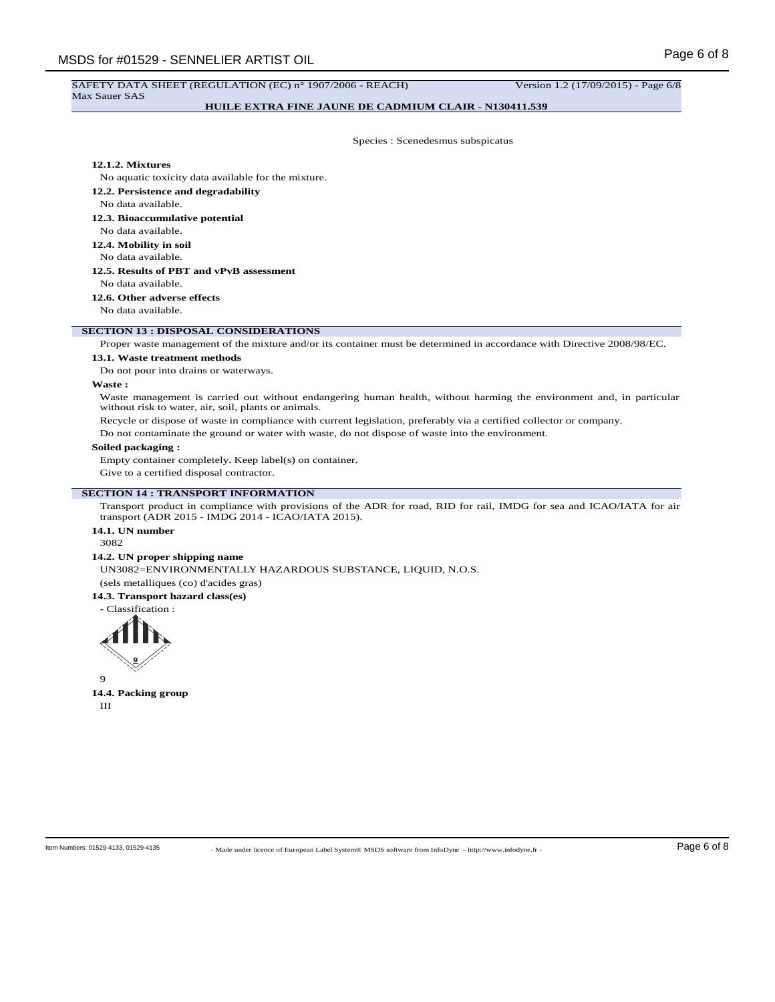#### SAFETY DATA SHEET (REGULATION (EC) n° 1907/2006 - REACH) Version 1.2 (17/09/2015) - Page 6/8 Max Sauer SAS

## **HUILE EXTRA FINE JAUNE DE CADMIUM CLAIR - N130411.539**

Species : Scenedesmus subspicatus

## **12.1.2. Mixtures**

No aquatic toxicity data available for the mixture.

- **12.2. Persistence and degradability**
- No data available.
- **12.3. Bioaccumulative potential**
- No data available.
- **12.4. Mobility in soil**
- No data available.
- **12.5. Results of PBT and vPvB assessment**
- No data available.
- **12.6. Other adverse effects**

No data available.

### **SECTION 13 : DISPOSAL CONSIDERATIONS**

Proper waste management of the mixture and/or its container must be determined in accordance with Directive 2008/98/EC.

#### **13.1. Waste treatment methods**

Do not pour into drains or waterways.

## **Waste :**

Waste management is carried out without endangering human health, without harming the environment and, in particular without risk to water, air, soil, plants or animals.

Recycle or dispose of waste in compliance with current legislation, preferably via a certified collector or company.

Do not contaminate the ground or water with waste, do not dispose of waste into the environment.

## **Soiled packaging :**

Empty container completely. Keep label(s) on container.

Give to a certified disposal contractor.

### **SECTION 14 : TRANSPORT INFORMATION**

Transport product in compliance with provisions of the ADR for road, RID for rail, IMDG for sea and ICAO/IATA for air transport (ADR 2015 - IMDG 2014 - ICAO/IATA 2015).

## **14.1. UN number**

3082

### **14.2. UN proper shipping name**

UN3082=ENVIRONMENTALLY HAZARDOUS SUBSTANCE, LIQUID, N.O.S. (sels metalliques (co) d'acides gras) **14.3. Transport hazard class(es)**

- Classification :



9 **14.4. Packing group** III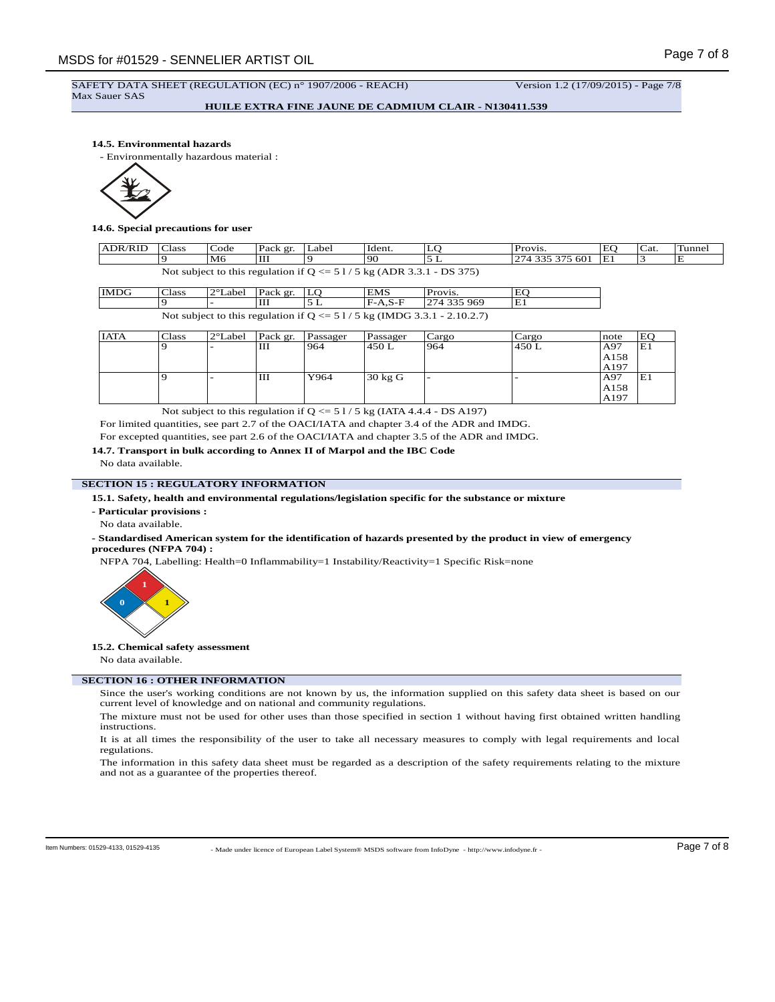SAFETY DATA SHEET (REGULATION (EC) n° 1907/2006 - REACH) Version 1.2 (17/09/2015) - Page 7/8 Max Sauer SAS

**HUILE EXTRA FINE JAUNE DE CADMIUM CLAIR - N130411.539**

### **14.5. Environmental hazards**

- Environmentally hazardous material :



#### **14.6. Special precautions for user**

| <b>ADR/RID</b>                                                         | <b>Class</b> | Code           | Pack gr. | ∟abel | Ident. | LC | Provis.         | EO | $\sim$<br>Cat. | Tunnel |
|------------------------------------------------------------------------|--------------|----------------|----------|-------|--------|----|-----------------|----|----------------|--------|
|                                                                        |              | M <sub>6</sub> | Ш        |       | '90    |    | 274 335 375 601 | Έì |                | E      |
| Not subject to this regulation if $Q \le 51/5$ kg (ADR 3.3.1 - DS 375) |              |                |          |       |        |    |                 |    |                |        |

| IMDG                                                                      | <b>Class</b> | $ 2^{\circ}$ Label Pack gr. $ LO $ |  |  | <b>EMS</b> | Provis.      | EO |
|---------------------------------------------------------------------------|--------------|------------------------------------|--|--|------------|--------------|----|
|                                                                           |              |                                    |  |  | $IF-A.S-F$ | 1274 335 969 | Έl |
| Not subject to this regulation if $Q \le 51/5$ kg (IMDG 3.3.1 - 2.10.2.7) |              |                                    |  |  |            |              |    |

| <b>IATA</b> | Class | 2°Label                  | Pack gr. | Passager | Passager          | Cargo                    | Cargo | note | EO |
|-------------|-------|--------------------------|----------|----------|-------------------|--------------------------|-------|------|----|
|             |       | $\overline{\phantom{0}}$ | Ш        | 964      | 450 L             | 964                      | 450 L | A97  | E1 |
|             |       |                          |          |          |                   |                          |       | A158 |    |
|             |       |                          |          |          |                   |                          |       | A197 |    |
|             |       | -                        | Ш        | Y964     | $30 \text{ kg}$ G | $\overline{\phantom{a}}$ |       | A97  | E1 |
|             |       |                          |          |          |                   |                          |       | A158 |    |
|             |       |                          |          |          |                   |                          |       | A197 |    |

Not subject to this regulation if  $Q \le 51/5$  kg (IATA 4.4.4 - DS A197)

For limited quantities, see part 2.7 of the OACI/IATA and chapter 3.4 of the ADR and IMDG. For excepted quantities, see part 2.6 of the OACI/IATA and chapter 3.5 of the ADR and IMDG.

## **14.7. Transport in bulk according to Annex II of Marpol and the IBC Code**

No data available.

## **SECTION 15 : REGULATORY INFORMATION**

**15.1. Safety, health and environmental regulations/legislation specific for the substance or mixture**

- **Particular provisions :**
- No data available.

## **- Standardised American system for the identification of hazards presented by the product in view of emergency procedures (NFPA 704) :**

NFPA 704, Labelling: Health=0 Inflammability=1 Instability/Reactivity=1 Specific Risk=none



#### **15.2. Chemical safety assessment**

No data available.

### **SECTION 16 : OTHER INFORMATION**

Since the user's working conditions are not known by us, the information supplied on this safety data sheet is based on our current level of knowledge and on national and community regulations.

The mixture must not be used for other uses than those specified in section 1 without having first obtained written handling instructions.

It is at all times the responsibility of the user to take all necessary measures to comply with legal requirements and local regulations.

The information in this safety data sheet must be regarded as a description of the safety requirements relating to the mixture and not as a guarantee of the properties thereof.